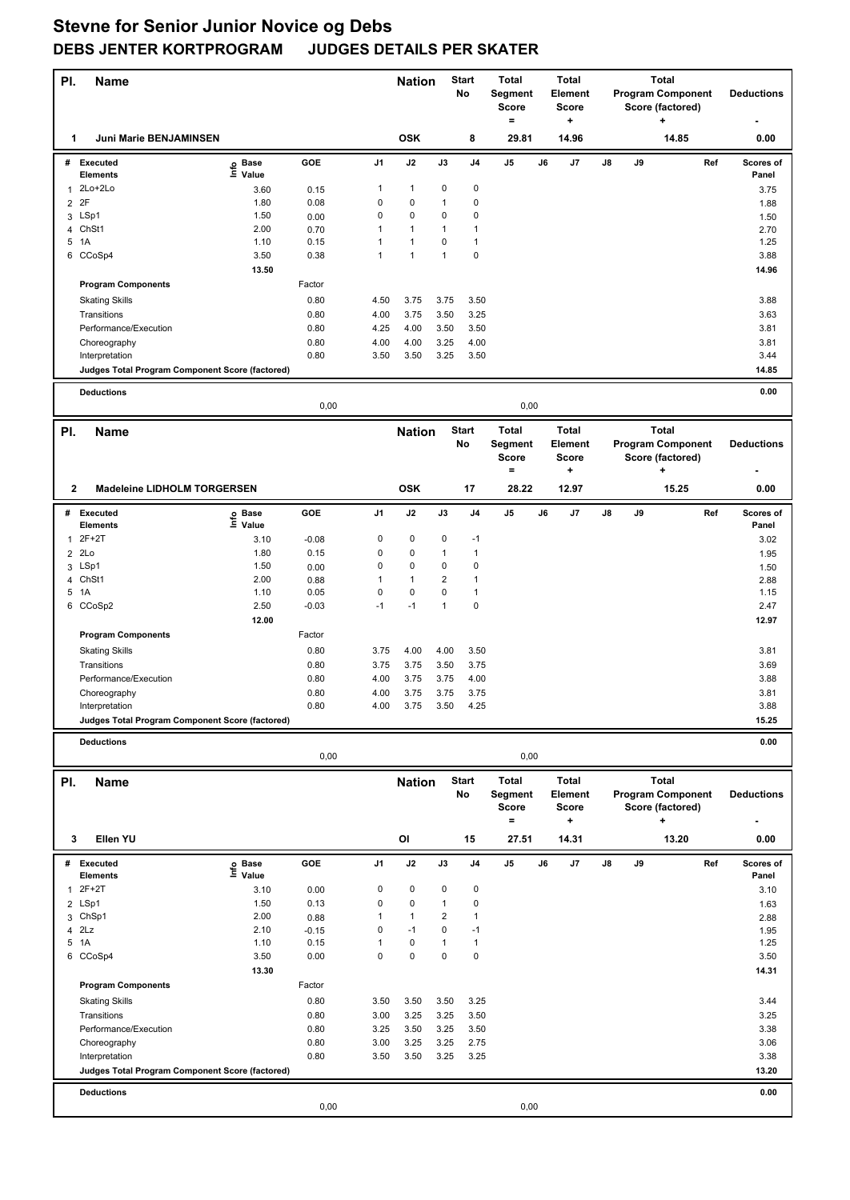| PI.            | <b>Name</b>                                     |                              |         |              | <b>Nation</b> |               | <b>Start</b><br>No | <b>Total</b><br><b>Segment</b><br>Score<br>$=$ |    | <b>Total</b><br><b>Element</b><br><b>Score</b><br>+ |    |    | <b>Total</b><br><b>Program Component</b><br>Score (factored)<br>٠ |     | <b>Deductions</b>  |
|----------------|-------------------------------------------------|------------------------------|---------|--------------|---------------|---------------|--------------------|------------------------------------------------|----|-----------------------------------------------------|----|----|-------------------------------------------------------------------|-----|--------------------|
| 1              | Juni Marie BENJAMINSEN                          |                              |         |              | <b>OSK</b>    |               | 8                  | 29.81                                          |    | 14.96                                               |    |    | 14.85                                                             |     | 0.00               |
|                | # Executed<br><b>Elements</b>                   | e Base<br>⊑ Value            | GOE     | J1           | J2            | J3            | J4                 | J5                                             | J6 | J7                                                  | J8 | J9 |                                                                   | Ref | Scores of<br>Panel |
| 1              | 2Lo+2Lo                                         | 3.60                         | 0.15    | 1            | $\mathbf{1}$  | 0             | $\pmb{0}$          |                                                |    |                                                     |    |    |                                                                   |     | 3.75               |
| $\overline{2}$ | 2F                                              | 1.80                         | 0.08    | 0            | 0             | 1             | 0                  |                                                |    |                                                     |    |    |                                                                   |     | 1.88               |
|                | 3 LSp1                                          | 1.50                         | 0.00    | 0            | $\pmb{0}$     | 0             | $\pmb{0}$          |                                                |    |                                                     |    |    |                                                                   |     | 1.50               |
| 4              | ChSt1                                           | 2.00                         | 0.70    | 1            | $\mathbf{1}$  | 1             | 1                  |                                                |    |                                                     |    |    |                                                                   |     | 2.70               |
|                | 5 1A                                            | 1.10                         | 0.15    | 1            | $\mathbf{1}$  | 0             | 1                  |                                                |    |                                                     |    |    |                                                                   |     | 1.25               |
| 6              | CCoSp4                                          | 3.50                         | 0.38    | $\mathbf{1}$ | $\mathbf{1}$  | $\mathbf{1}$  | 0                  |                                                |    |                                                     |    |    |                                                                   |     | 3.88               |
|                |                                                 | 13.50                        |         |              |               |               |                    |                                                |    |                                                     |    |    |                                                                   |     | 14.96              |
|                | <b>Program Components</b>                       |                              | Factor  |              |               |               |                    |                                                |    |                                                     |    |    |                                                                   |     |                    |
|                | <b>Skating Skills</b>                           |                              | 0.80    | 4.50         | 3.75          | 3.75          | 3.50               |                                                |    |                                                     |    |    |                                                                   |     | 3.88               |
|                | Transitions                                     |                              | 0.80    | 4.00         | 3.75          | 3.50          | 3.25               |                                                |    |                                                     |    |    |                                                                   |     | 3.63               |
|                | Performance/Execution                           |                              | 0.80    | 4.25         | 4.00          | 3.50          | 3.50               |                                                |    |                                                     |    |    |                                                                   |     | 3.81               |
|                | Choreography                                    |                              | 0.80    | 4.00         | 4.00          | 3.25          | 4.00               |                                                |    |                                                     |    |    |                                                                   |     | 3.81               |
|                | Interpretation                                  |                              | 0.80    | 3.50         | 3.50          | 3.25          | 3.50               |                                                |    |                                                     |    |    |                                                                   |     | 3.44               |
|                | Judges Total Program Component Score (factored) |                              |         |              |               |               |                    |                                                |    |                                                     |    |    |                                                                   |     | 14.85              |
|                | <b>Deductions</b>                               |                              |         |              |               |               |                    |                                                |    |                                                     |    |    |                                                                   |     | 0.00               |
|                |                                                 |                              | 0,00    |              |               |               |                    | 0,00                                           |    |                                                     |    |    |                                                                   |     |                    |
| PI.            | <b>Name</b>                                     |                              |         |              | <b>Nation</b> |               | <b>Start</b>       | <b>Total</b>                                   |    | <b>Total</b>                                        |    |    | <b>Total</b>                                                      |     |                    |
|                |                                                 |                              |         |              |               |               | No                 | Segment<br><b>Score</b>                        |    | <b>Element</b><br><b>Score</b>                      |    |    | <b>Program Component</b><br>Score (factored)                      |     | <b>Deductions</b>  |
|                |                                                 |                              |         |              |               |               |                    | $=$                                            |    | ٠                                                   |    |    | ٠                                                                 |     |                    |
| $\mathbf{2}$   | <b>Madeleine LIDHOLM TORGERSEN</b>              |                              |         |              | <b>OSK</b>    |               | 17                 | 28.22                                          |    | 12.97                                               |    |    | 15.25                                                             |     | 0.00               |
|                | # Executed<br><b>Elements</b>                   | e Base<br>⊆ Value            | GOE     | J1           | J2            | J3            | J <sub>4</sub>     | J5                                             | J6 | J7                                                  | J8 | J9 |                                                                   | Ref | Scores of<br>Panel |
| 1              | $2F+2T$                                         | 3.10                         | $-0.08$ | 0            | $\pmb{0}$     | 0             | $-1$               |                                                |    |                                                     |    |    |                                                                   |     | 3.02               |
| $\overline{2}$ | 2Lo                                             | 1.80                         | 0.15    | 0            | $\pmb{0}$     | $\mathbf{1}$  | 1                  |                                                |    |                                                     |    |    |                                                                   |     | 1.95               |
|                | 3 LSp1                                          | 1.50                         | 0.00    | 0            | 0             | 0             | $\mathbf 0$        |                                                |    |                                                     |    |    |                                                                   |     | 1.50               |
| 4              | ChSt1                                           | 2.00                         | 0.88    | 1            | $\mathbf{1}$  | 2             | $\mathbf{1}$       |                                                |    |                                                     |    |    |                                                                   |     | 2.88               |
|                | 5 1A                                            | 1.10                         | 0.05    | 0            | $\pmb{0}$     | 0             | $\mathbf{1}$       |                                                |    |                                                     |    |    |                                                                   |     | 1.15               |
|                | 6 CCoSp2                                        | 2.50                         | $-0.03$ | $-1$         | $-1$          | $\mathbf{1}$  | 0                  |                                                |    |                                                     |    |    |                                                                   |     | 2.47               |
|                |                                                 | 12.00                        |         |              |               |               |                    |                                                |    |                                                     |    |    |                                                                   |     | 12.97              |
|                | <b>Program Components</b>                       |                              | Factor  |              |               |               |                    |                                                |    |                                                     |    |    |                                                                   |     |                    |
|                | <b>Skating Skills</b>                           |                              | 0.80    | 3.75         | 4.00          | 4.00          | 3.50               |                                                |    |                                                     |    |    |                                                                   |     | 3.81               |
|                | Transitions                                     |                              | 0.80    | 3.75         | 3.75          | 3.50          | 3.75               |                                                |    |                                                     |    |    |                                                                   |     | 3.69               |
|                | Performance/Execution                           |                              | 0.80    | 4.00         | 3.75          | 3.75          | 4.00               |                                                |    |                                                     |    |    |                                                                   |     | 3.88               |
|                | Choreography                                    |                              | 0.80    | 4.00         | 3.75          | 3.75          | 3.75               |                                                |    |                                                     |    |    |                                                                   |     | 3.81               |
|                | Interpretation                                  |                              | 0.80    | 4.00         | 3.75          | 3.50          | 4.25               |                                                |    |                                                     |    |    |                                                                   |     | 3.88               |
|                | Judges Total Program Component Score (factored) |                              |         |              |               |               |                    |                                                |    |                                                     |    |    |                                                                   |     | 15.25              |
|                | <b>Deductions</b>                               |                              |         |              |               |               |                    |                                                |    |                                                     |    |    |                                                                   |     | 0.00               |
|                |                                                 |                              | 0,00    |              |               |               |                    | 0,00                                           |    |                                                     |    |    |                                                                   |     |                    |
| PI.            | <b>Name</b>                                     |                              |         |              | <b>Nation</b> |               | Start              | <b>Total</b>                                   |    | <b>Total</b>                                        |    |    | Total                                                             |     |                    |
|                |                                                 |                              |         |              |               |               | No                 | Segment                                        |    | Element                                             |    |    | <b>Program Component</b>                                          |     | <b>Deductions</b>  |
|                |                                                 |                              |         |              |               |               |                    | Score<br>$=$                                   |    | Score<br>$\ddot{}$                                  |    |    | Score (factored)<br>٠                                             |     |                    |
| 3              | Ellen YU                                        |                              |         |              | OI            |               | 15                 | 27.51                                          |    | 14.31                                               |    |    | 13.20                                                             |     | 0.00               |
|                |                                                 |                              |         |              |               |               |                    |                                                |    |                                                     |    |    |                                                                   |     |                    |
|                | # Executed<br>Elements                          | e Base<br><sup>⊑</sup> Value | GOE     | J1           | J2            | $\mathsf{J3}$ | J4                 | J5                                             | J6 | J7                                                  | J8 | J9 |                                                                   | Ref | Scores of<br>Panel |
|                | $2F+2T$                                         | 3.10                         | 0.00    | 0            | 0             | 0             | $\pmb{0}$          |                                                |    |                                                     |    |    |                                                                   |     | 3.10               |
| $\overline{2}$ | LSp1                                            | 1.50                         | 0.13    | 0            | $\pmb{0}$     | 1             | 0                  |                                                |    |                                                     |    |    |                                                                   |     | 1.63               |
|                | 3 ChSp1                                         | 2.00                         | 0.88    | 1            | $\mathbf{1}$  | 2             | $\mathbf{1}$       |                                                |    |                                                     |    |    |                                                                   |     | 2.88               |
| 4              | 2Lz                                             | 2.10                         | $-0.15$ | 0            | $-1$          | 0             | $-1$               |                                                |    |                                                     |    |    |                                                                   |     | 1.95               |
|                | 5 1A                                            | 1.10                         | 0.15    | 1            | $\pmb{0}$     | 1             | $\mathbf{1}$       |                                                |    |                                                     |    |    |                                                                   |     | 1.25               |
|                | 6 CCoSp4                                        | 3.50                         | 0.00    | 0            | $\pmb{0}$     | 0             | $\pmb{0}$          |                                                |    |                                                     |    |    |                                                                   |     | 3.50               |
|                |                                                 | 13.30                        |         |              |               |               |                    |                                                |    |                                                     |    |    |                                                                   |     | 14.31              |
|                | <b>Program Components</b>                       |                              | Factor  |              |               |               |                    |                                                |    |                                                     |    |    |                                                                   |     |                    |
|                | <b>Skating Skills</b>                           |                              | 0.80    | 3.50         | 3.50          | 3.50          | 3.25               |                                                |    |                                                     |    |    |                                                                   |     | 3.44               |
|                | Transitions                                     |                              | 0.80    | 3.00         | 3.25          | 3.25          | 3.50               |                                                |    |                                                     |    |    |                                                                   |     | 3.25               |
|                | Performance/Execution                           |                              | 0.80    | 3.25         | 3.50          | 3.25          | 3.50               |                                                |    |                                                     |    |    |                                                                   |     | 3.38               |
|                | Choreography                                    |                              | 0.80    | 3.00         | 3.25          | 3.25          | 2.75               |                                                |    |                                                     |    |    |                                                                   |     | 3.06               |
|                | Interpretation                                  |                              | 0.80    | 3.50         | 3.50          | 3.25          | 3.25               |                                                |    |                                                     |    |    |                                                                   |     | 3.38               |
|                | Judges Total Program Component Score (factored) |                              |         |              |               |               |                    |                                                |    |                                                     |    |    |                                                                   |     | 13.20              |
|                | <b>Deductions</b>                               |                              | 0,00    |              |               |               |                    | 0,00                                           |    |                                                     |    |    |                                                                   |     | 0.00               |
|                |                                                 |                              |         |              |               |               |                    |                                                |    |                                                     |    |    |                                                                   |     |                    |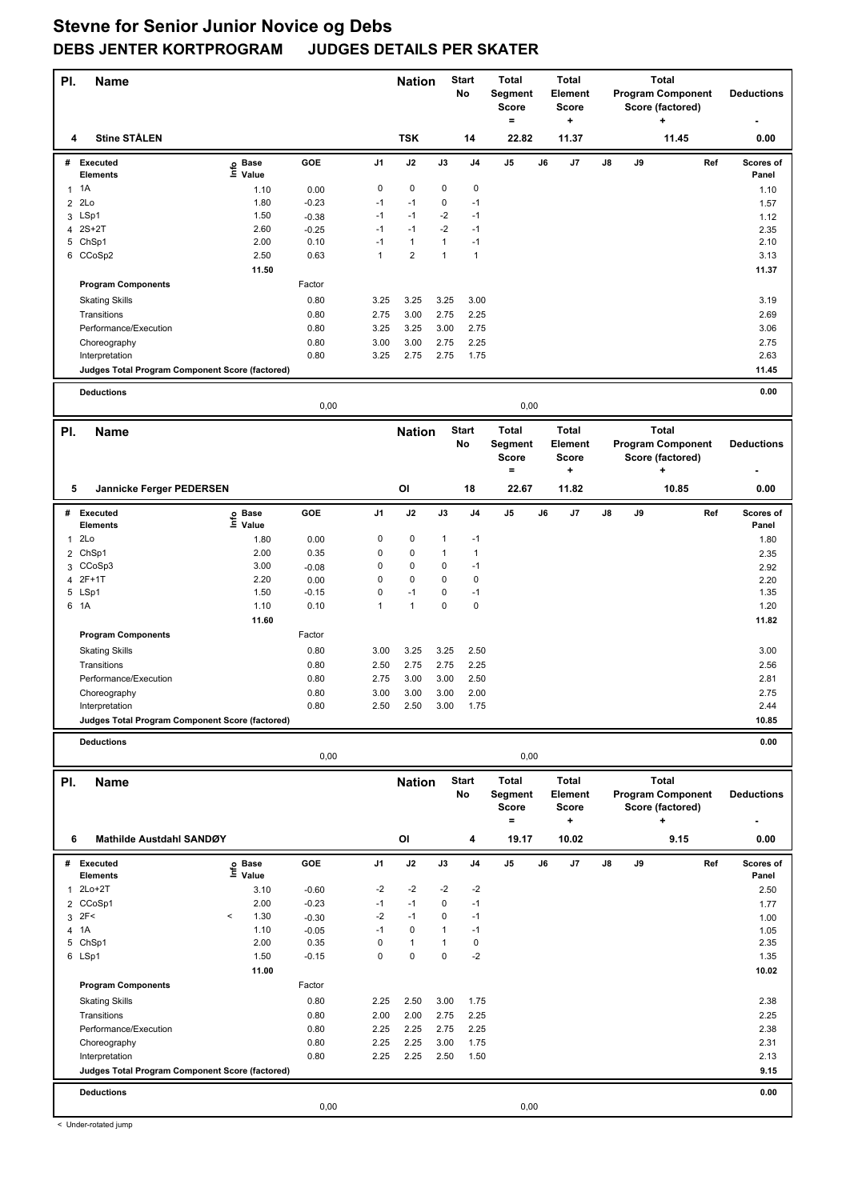| PI.            | <b>Name</b>                                     |                              |                 |              | <b>Nation</b>     |              | <b>Start</b><br>No | <b>Total</b><br>Segment<br><b>Score</b><br>$\qquad \qquad =$ |    | <b>Total</b><br>Element<br><b>Score</b><br>٠ |    |    | <b>Total</b><br><b>Program Component</b><br>Score (factored)<br>÷ | <b>Deductions</b>         |
|----------------|-------------------------------------------------|------------------------------|-----------------|--------------|-------------------|--------------|--------------------|--------------------------------------------------------------|----|----------------------------------------------|----|----|-------------------------------------------------------------------|---------------------------|
| 4              | <b>Stine STÅLEN</b>                             |                              |                 |              | <b>TSK</b>        |              | 14                 | 22.82                                                        |    | 11.37                                        |    |    | 11.45                                                             | 0.00                      |
|                | # Executed<br>Elements                          | e Base<br>⊆ Value            | GOE             | J1           | J2                | J3           | J <sub>4</sub>     | J5                                                           | J6 | J7                                           | J8 | J9 |                                                                   | Ref<br>Scores of<br>Panel |
|                | $1 \t1A$                                        | 1.10                         | 0.00            | 0            | 0                 | 0            | $\pmb{0}$          |                                                              |    |                                              |    |    |                                                                   | 1.10                      |
|                | 2 2Lo                                           | 1.80                         | $-0.23$         | $-1$         | $-1$              | 0            | $-1$               |                                                              |    |                                              |    |    |                                                                   | 1.57                      |
|                | 3 LSp1                                          | 1.50                         | $-0.38$         | $-1$         | $-1$              | -2           | $-1$               |                                                              |    |                                              |    |    |                                                                   | 1.12                      |
|                | 4 2S+2T                                         | 2.60                         | $-0.25$         | $-1$         | $-1$              | $-2$         | $-1$               |                                                              |    |                                              |    |    |                                                                   | 2.35                      |
|                | 5 ChSp1                                         | 2.00                         | 0.10            | $-1$         | $\mathbf{1}$      | 1            | $-1$               |                                                              |    |                                              |    |    |                                                                   | 2.10                      |
|                | 6 CCoSp2                                        | 2.50                         | 0.63            | $\mathbf{1}$ | $\overline{2}$    | 1            | $\mathbf{1}$       |                                                              |    |                                              |    |    |                                                                   | 3.13                      |
|                |                                                 | 11.50                        |                 |              |                   |              |                    |                                                              |    |                                              |    |    |                                                                   | 11.37                     |
|                | <b>Program Components</b>                       |                              | Factor          |              |                   |              |                    |                                                              |    |                                              |    |    |                                                                   |                           |
|                | <b>Skating Skills</b>                           |                              | 0.80            | 3.25         | 3.25              | 3.25         | 3.00               |                                                              |    |                                              |    |    |                                                                   | 3.19                      |
|                | Transitions                                     |                              | 0.80            | 2.75         | 3.00              | 2.75         | 2.25               |                                                              |    |                                              |    |    |                                                                   | 2.69                      |
|                | Performance/Execution                           |                              | 0.80            | 3.25         | 3.25              | 3.00         | 2.75               |                                                              |    |                                              |    |    |                                                                   | 3.06                      |
|                | Choreography                                    |                              | 0.80            | 3.00         | 3.00              | 2.75         | 2.25               |                                                              |    |                                              |    |    |                                                                   | 2.75                      |
|                | Interpretation                                  |                              | 0.80            | 3.25         | 2.75              | 2.75         | 1.75               |                                                              |    |                                              |    |    |                                                                   | 2.63                      |
|                | Judges Total Program Component Score (factored) |                              |                 |              |                   |              |                    |                                                              |    |                                              |    |    |                                                                   | 11.45                     |
|                | <b>Deductions</b>                               |                              | 0,00            |              |                   |              |                    | 0,00                                                         |    |                                              |    |    |                                                                   | 0.00                      |
| PI.            | <b>Name</b>                                     |                              |                 |              | <b>Nation</b>     |              | <b>Start</b>       | <b>Total</b>                                                 |    | <b>Total</b>                                 |    |    | <b>Total</b>                                                      |                           |
|                |                                                 |                              |                 |              |                   |              | No                 | Segment<br><b>Score</b>                                      |    | Element<br><b>Score</b>                      |    |    | <b>Program Component</b><br>Score (factored)                      | <b>Deductions</b>         |
| 5              | Jannicke Ferger PEDERSEN                        |                              |                 |              | OI                |              | 18                 | $\equiv$<br>22.67                                            |    | ٠<br>11.82                                   |    |    | ٠<br>10.85                                                        | 0.00                      |
|                | # Executed                                      |                              | GOE             | J1           | J2                | J3           | J4                 | J5                                                           | J6 | J7                                           | J8 | J9 |                                                                   | Ref<br>Scores of          |
|                | <b>Elements</b>                                 | e Base<br>⊆ Value            |                 |              |                   |              |                    |                                                              |    |                                              |    |    |                                                                   | Panel                     |
| 1              | 2Lo                                             | 1.80                         | 0.00            | 0            | 0                 | 1            | $-1$               |                                                              |    |                                              |    |    |                                                                   | 1.80                      |
| 2              | ChSp1                                           | 2.00                         | 0.35            | 0            | $\pmb{0}$         | 1            | $\mathbf{1}$       |                                                              |    |                                              |    |    |                                                                   | 2.35                      |
|                | 3 CCoSp3                                        | 3.00                         | $-0.08$         | 0            | 0                 | 0            | $-1$               |                                                              |    |                                              |    |    |                                                                   | 2.92                      |
| 4              | $2F+1T$                                         | 2.20                         | 0.00            | 0            | 0                 | 0            | 0                  |                                                              |    |                                              |    |    |                                                                   | 2.20                      |
|                | 5 LSp1                                          | 1.50                         | $-0.15$         | 0            | $-1$              | 0            | $-1$               |                                                              |    |                                              |    |    |                                                                   | 1.35                      |
|                | 6 1A                                            | 1.10                         | 0.10            | $\mathbf{1}$ | $\mathbf{1}$      | 0            | $\mathbf 0$        |                                                              |    |                                              |    |    |                                                                   | 1.20                      |
|                |                                                 | 11.60                        |                 |              |                   |              |                    |                                                              |    |                                              |    |    |                                                                   | 11.82                     |
|                | <b>Program Components</b>                       |                              | Factor          |              |                   |              |                    |                                                              |    |                                              |    |    |                                                                   |                           |
|                | <b>Skating Skills</b>                           |                              | 0.80            | 3.00         | 3.25              | 3.25         | 2.50               |                                                              |    |                                              |    |    |                                                                   | 3.00                      |
|                | Transitions                                     |                              | 0.80            | 2.50         | 2.75              | 2.75         | 2.25               |                                                              |    |                                              |    |    |                                                                   | 2.56                      |
|                | Performance/Execution                           |                              | 0.80            | 2.75         | 3.00              | 3.00         | 2.50               |                                                              |    |                                              |    |    |                                                                   | 2.81                      |
|                | Choreography<br>Interpretation                  |                              | 0.80<br>0.80    | 3.00<br>2.50 | 3.00<br>2.50      | 3.00<br>3.00 | 2.00<br>1.75       |                                                              |    |                                              |    |    |                                                                   | 2.75<br>2.44              |
|                | Judges Total Program Component Score (factored) |                              |                 |              |                   |              |                    |                                                              |    |                                              |    |    |                                                                   | 10.85                     |
|                |                                                 |                              |                 |              |                   |              |                    |                                                              |    |                                              |    |    |                                                                   |                           |
|                | <b>Deductions</b>                               |                              | 0,00            |              |                   |              |                    | 0,00                                                         |    |                                              |    |    |                                                                   | 0.00                      |
| PI.            | <b>Name</b>                                     |                              |                 |              | <b>Nation</b>     |              | <b>Start</b>       | <b>Total</b>                                                 |    | <b>Total</b>                                 |    |    | <b>Total</b>                                                      |                           |
|                |                                                 |                              |                 |              |                   |              | No                 | Segment                                                      |    | Element                                      |    |    | <b>Program Component</b>                                          | <b>Deductions</b>         |
|                |                                                 |                              |                 |              |                   |              |                    | <b>Score</b><br>$\equiv$                                     |    | Score<br>۰                                   |    |    | Score (factored)<br>٠                                             |                           |
| 6              | Mathilde Austdahl SANDØY                        |                              |                 |              | OI                |              | 4                  | 19.17                                                        |    | 10.02                                        |    |    | 9.15                                                              | 0.00                      |
|                | # Executed                                      |                              | GOE             | J1           | J2                | J3           | J4                 | J5                                                           | J6 | J7                                           | J8 | J9 |                                                                   | Ref<br>Scores of          |
|                | <b>Elements</b>                                 | e Base<br><sup>⊑</sup> Value |                 |              |                   |              |                    |                                                              |    |                                              |    |    |                                                                   | Panel                     |
|                | 2Lo+2T                                          | 3.10                         | $-0.60$         | -2           | -2                | -2           | -2                 |                                                              |    |                                              |    |    |                                                                   | 2.50                      |
| $\overline{2}$ | CCoSp1                                          | 2.00                         | $-0.23$         | $-1$         | $-1$              | 0            | $-1$               |                                                              |    |                                              |    |    |                                                                   | 1.77                      |
|                | $3$ $2F<$                                       | 1.30<br>$\,<$                | $-0.30$         | $-2$         | $-1$              | 0            | $-1$               |                                                              |    |                                              |    |    |                                                                   | 1.00                      |
| 4              | 1A<br>5 ChSp1                                   | 1.10<br>2.00                 | $-0.05$<br>0.35 | $-1$<br>0    | 0<br>$\mathbf{1}$ | 1<br>1       | $-1$<br>$\pmb{0}$  |                                                              |    |                                              |    |    |                                                                   | 1.05<br>2.35              |
|                | 6 LSp1                                          | 1.50                         | $-0.15$         | 0            | 0                 | 0            | $-2$               |                                                              |    |                                              |    |    |                                                                   | 1.35                      |
|                |                                                 | 11.00                        |                 |              |                   |              |                    |                                                              |    |                                              |    |    |                                                                   | 10.02                     |
|                | <b>Program Components</b>                       |                              | Factor          |              |                   |              |                    |                                                              |    |                                              |    |    |                                                                   |                           |
|                | <b>Skating Skills</b>                           |                              | 0.80            | 2.25         | 2.50              | 3.00         | 1.75               |                                                              |    |                                              |    |    |                                                                   | 2.38                      |
|                | Transitions                                     |                              | 0.80            | 2.00         | 2.00              | 2.75         | 2.25               |                                                              |    |                                              |    |    |                                                                   | 2.25                      |
|                | Performance/Execution                           |                              | 0.80            | 2.25         | 2.25              | 2.75         | 2.25               |                                                              |    |                                              |    |    |                                                                   | 2.38                      |
|                | Choreography                                    |                              | 0.80            | 2.25         | 2.25              | 3.00         | 1.75               |                                                              |    |                                              |    |    |                                                                   | 2.31                      |
|                | Interpretation                                  |                              | 0.80            | 2.25         | 2.25              | 2.50         | 1.50               |                                                              |    |                                              |    |    |                                                                   | 2.13                      |
|                | Judges Total Program Component Score (factored) |                              |                 |              |                   |              |                    |                                                              |    |                                              |    |    |                                                                   | 9.15                      |
|                | <b>Deductions</b>                               |                              |                 |              |                   |              |                    |                                                              |    |                                              |    |    |                                                                   | 0.00                      |
|                |                                                 |                              | 0,00            |              |                   |              |                    | 0,00                                                         |    |                                              |    |    |                                                                   |                           |

< Under-rotated jump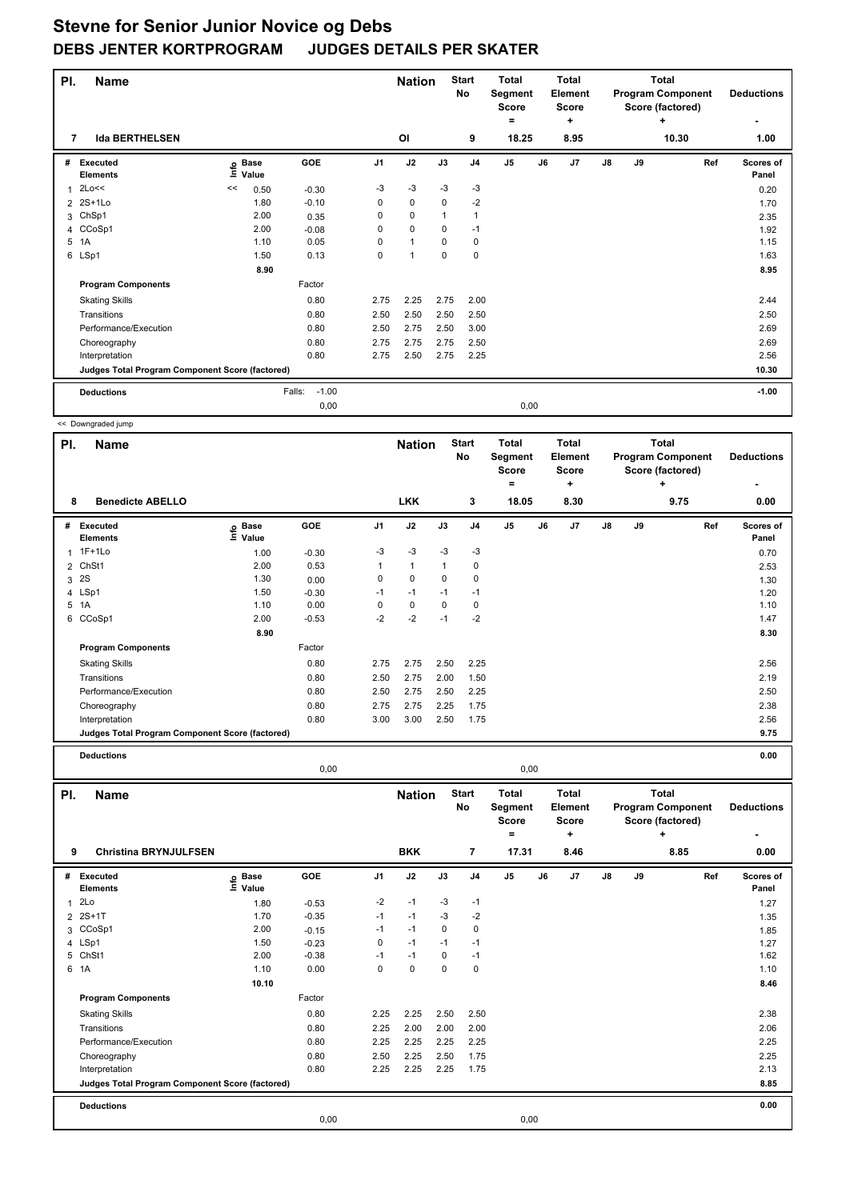| PI.            | <b>Name</b>                                     |      |                      |                   |                | <b>Nation</b> |             | <b>Start</b><br>No | <b>Total</b><br>Segment<br><b>Score</b><br>۰ |      | <b>Total</b><br>Element<br><b>Score</b><br>÷ |               |    | Total<br><b>Program Component</b><br>Score (factored)<br>÷ | <b>Deductions</b>         |
|----------------|-------------------------------------------------|------|----------------------|-------------------|----------------|---------------|-------------|--------------------|----------------------------------------------|------|----------------------------------------------|---------------|----|------------------------------------------------------------|---------------------------|
| 7              | <b>Ida BERTHELSEN</b>                           |      |                      |                   |                | <b>OI</b>     |             | 9                  | 18.25                                        |      | 8.95                                         |               |    | 10.30                                                      | 1.00                      |
| #              | <b>Executed</b><br><b>Elements</b>              | lnfo | <b>Base</b><br>Value | <b>GOE</b>        | J <sub>1</sub> | J2            | J3          | J <sub>4</sub>     | J <sub>5</sub>                               | J6   | J7                                           | $\mathsf{J}8$ | J9 | Ref                                                        | <b>Scores of</b><br>Panel |
| 1              | 2Lo<<                                           | <<   | 0.50                 | $-0.30$           | $-3$           | $-3$          | $-3$        | $-3$               |                                              |      |                                              |               |    |                                                            | 0.20                      |
| $\overline{2}$ | $2S+1Lo$                                        |      | 1.80                 | $-0.10$           | $\mathbf 0$    | $\mathbf 0$   | $\mathbf 0$ | $-2$               |                                              |      |                                              |               |    |                                                            | 1.70                      |
| 3              | ChSp1                                           |      | 2.00                 | 0.35              | 0              | $\mathbf 0$   |             | $\mathbf{1}$       |                                              |      |                                              |               |    |                                                            | 2.35                      |
| 4              | CCoSp1                                          |      | 2.00                 | $-0.08$           | 0              | $\mathbf 0$   | 0           | $-1$               |                                              |      |                                              |               |    |                                                            | 1.92                      |
| 5              | 1A                                              |      | 1.10                 | 0.05              | $\Omega$       | $\mathbf{1}$  | $\Omega$    | 0                  |                                              |      |                                              |               |    |                                                            | 1.15                      |
|                | 6 LSp1                                          |      | 1.50                 | 0.13              | 0              | 1             | $\mathbf 0$ | $\mathbf 0$        |                                              |      |                                              |               |    |                                                            | 1.63                      |
|                |                                                 |      | 8.90                 |                   |                |               |             |                    |                                              |      |                                              |               |    |                                                            | 8.95                      |
|                | <b>Program Components</b>                       |      |                      | Factor            |                |               |             |                    |                                              |      |                                              |               |    |                                                            |                           |
|                | <b>Skating Skills</b>                           |      |                      | 0.80              | 2.75           | 2.25          | 2.75        | 2.00               |                                              |      |                                              |               |    |                                                            | 2.44                      |
|                | Transitions                                     |      |                      | 0.80              | 2.50           | 2.50          | 2.50        | 2.50               |                                              |      |                                              |               |    |                                                            | 2.50                      |
|                | Performance/Execution                           |      |                      | 0.80              | 2.50           | 2.75          | 2.50        | 3.00               |                                              |      |                                              |               |    |                                                            | 2.69                      |
|                | Choreography                                    |      |                      | 0.80              | 2.75           | 2.75          | 2.75        | 2.50               |                                              |      |                                              |               |    |                                                            | 2.69                      |
|                | Interpretation                                  |      |                      | 0.80              | 2.75           | 2.50          | 2.75        | 2.25               |                                              |      |                                              |               |    |                                                            | 2.56                      |
|                | Judges Total Program Component Score (factored) |      |                      |                   |                |               |             |                    |                                              |      |                                              |               |    |                                                            | 10.30                     |
|                | <b>Deductions</b>                               |      |                      | Falls:<br>$-1.00$ |                |               |             |                    |                                              |      |                                              |               |    |                                                            | $-1.00$                   |
|                |                                                 |      |                      | 0,00              |                |               |             |                    |                                              | 0,00 |                                              |               |    |                                                            |                           |

|                | << Downgraded jump                              |                                  |         |                |               |              |                    |                                              |       |                                              |    |    |                                                                   |                    |
|----------------|-------------------------------------------------|----------------------------------|---------|----------------|---------------|--------------|--------------------|----------------------------------------------|-------|----------------------------------------------|----|----|-------------------------------------------------------------------|--------------------|
| PI.            | <b>Name</b>                                     |                                  |         |                | <b>Nation</b> |              | <b>Start</b><br>No | <b>Total</b><br>Segment<br><b>Score</b><br>۰ |       | <b>Total</b><br>Element<br><b>Score</b><br>٠ |    |    | <b>Total</b><br><b>Program Component</b><br>Score (factored)<br>٠ | <b>Deductions</b>  |
| 8              | <b>Benedicte ABELLO</b>                         |                                  |         |                | <b>LKK</b>    |              | 3                  |                                              | 18.05 | 8.30                                         |    |    | 9.75                                                              | 0.00               |
| #              | Executed<br><b>Elements</b>                     | <b>Base</b><br>e Base<br>⊑ Value | GOE     | J <sub>1</sub> | J2            | J3           | J <sub>4</sub>     | J <sub>5</sub>                               | J6    | J7                                           | J8 | J9 | Ref                                                               | Scores of<br>Panel |
| $\mathbf{1}$   | $1F+1Lo$                                        | 1.00                             | $-0.30$ | $-3$           | $-3$          | $-3$         | $-3$               |                                              |       |                                              |    |    |                                                                   | 0.70               |
| $\overline{2}$ | ChSt1                                           | 2.00                             | 0.53    | $\mathbf{1}$   | $\mathbf{1}$  | $\mathbf{1}$ | 0                  |                                              |       |                                              |    |    |                                                                   | 2.53               |
| 3              | 2S                                              | 1.30                             | 0.00    | 0              | $\mathbf 0$   | $\mathbf 0$  | 0                  |                                              |       |                                              |    |    |                                                                   | 1.30               |
|                | 4 LSp1                                          | 1.50                             | $-0.30$ | $-1$           | $-1$          | $-1$         | $-1$               |                                              |       |                                              |    |    |                                                                   | 1.20               |
| 5              | 1A                                              | 1.10                             | 0.00    | 0              | 0             | $\mathbf 0$  | 0                  |                                              |       |                                              |    |    |                                                                   | 1.10               |
| 6              | CCoSp1                                          | 2.00                             | $-0.53$ | $-2$           | $-2$          | $-1$         | $-2$               |                                              |       |                                              |    |    |                                                                   | 1.47               |
|                |                                                 | 8.90                             |         |                |               |              |                    |                                              |       |                                              |    |    |                                                                   | 8.30               |
|                | <b>Program Components</b>                       |                                  | Factor  |                |               |              |                    |                                              |       |                                              |    |    |                                                                   |                    |
|                | <b>Skating Skills</b>                           |                                  | 0.80    | 2.75           | 2.75          | 2.50         | 2.25               |                                              |       |                                              |    |    |                                                                   | 2.56               |
|                | Transitions                                     |                                  | 0.80    | 2.50           | 2.75          | 2.00         | 1.50               |                                              |       |                                              |    |    |                                                                   | 2.19               |
|                | Performance/Execution                           |                                  | 0.80    | 2.50           | 2.75          | 2.50         | 2.25               |                                              |       |                                              |    |    |                                                                   | 2.50               |
|                | Choreography                                    |                                  | 0.80    | 2.75           | 2.75          | 2.25         | 1.75               |                                              |       |                                              |    |    |                                                                   | 2.38               |
|                | Interpretation                                  |                                  | 0.80    | 3.00           | 3.00          | 2.50         | 1.75               |                                              |       |                                              |    |    |                                                                   | 2.56               |
|                | Judges Total Program Component Score (factored) |                                  |         |                |               |              |                    |                                              |       |                                              |    |    |                                                                   | 9.75               |
|                | <b>Deductions</b>                               |                                  |         |                |               |              |                    |                                              |       |                                              |    |    |                                                                   | 0.00               |
|                |                                                 |                                  | 0,00    |                |               |              |                    |                                              | 0,00  |                                              |    |    |                                                                   |                    |

| PI. | Name                                            |                   |         |                | <b>Nation</b> |          | <b>Start</b><br>No | <b>Total</b><br>Segment<br><b>Score</b> |    | <b>Total</b><br>Element<br>Score |               |    | <b>Total</b><br><b>Program Component</b><br>Score (factored) | <b>Deductions</b>         |
|-----|-------------------------------------------------|-------------------|---------|----------------|---------------|----------|--------------------|-----------------------------------------|----|----------------------------------|---------------|----|--------------------------------------------------------------|---------------------------|
|     |                                                 |                   |         |                |               |          |                    | =                                       |    | ÷                                |               |    | ÷                                                            | ٠                         |
| 9   | <b>Christina BRYNJULFSEN</b>                    |                   |         |                | <b>BKK</b>    |          | 7                  | 17.31                                   |    | 8.46                             |               |    | 8.85                                                         | 0.00                      |
| #   | Executed<br><b>Elements</b>                     | e Base<br>⊑ Value | GOE     | J <sub>1</sub> | J2            | J3       | J <sub>4</sub>     | J <sub>5</sub>                          | J6 | J7                               | $\mathsf{J}8$ | J9 | Ref                                                          | <b>Scores of</b><br>Panel |
| 1   | 2Lo                                             | 1.80              | $-0.53$ | $-2$           | $-1$          | $-3$     | $-1$               |                                         |    |                                  |               |    |                                                              | 1.27                      |
|     | 2 2S+1T                                         | 1.70              | $-0.35$ | $-1$           | $-1$          | $-3$     | $-2$               |                                         |    |                                  |               |    |                                                              | 1.35                      |
|     | 3 CCoSp1                                        | 2.00              | $-0.15$ | -1             | $-1$          | 0        | 0                  |                                         |    |                                  |               |    |                                                              | 1.85                      |
|     | 4 LSp1                                          | 1.50              | $-0.23$ | 0              | $-1$          | $-1$     | -1                 |                                         |    |                                  |               |    |                                                              | 1.27                      |
|     | 5 ChSt1                                         | 2.00              | $-0.38$ | $-1$           | $-1$          | $\Omega$ | $-1$               |                                         |    |                                  |               |    |                                                              | 1.62                      |
|     | 6 1A                                            | 1.10              | 0.00    | 0              | $\mathbf 0$   | 0        | $\mathbf 0$        |                                         |    |                                  |               |    |                                                              | 1.10                      |
|     |                                                 | 10.10             |         |                |               |          |                    |                                         |    |                                  |               |    |                                                              | 8.46                      |
|     | <b>Program Components</b>                       |                   | Factor  |                |               |          |                    |                                         |    |                                  |               |    |                                                              |                           |
|     | <b>Skating Skills</b>                           |                   | 0.80    | 2.25           | 2.25          | 2.50     | 2.50               |                                         |    |                                  |               |    |                                                              | 2.38                      |
|     | Transitions                                     |                   | 0.80    | 2.25           | 2.00          | 2.00     | 2.00               |                                         |    |                                  |               |    |                                                              | 2.06                      |
|     | Performance/Execution                           |                   | 0.80    | 2.25           | 2.25          | 2.25     | 2.25               |                                         |    |                                  |               |    |                                                              | 2.25                      |
|     | Choreography                                    |                   | 0.80    | 2.50           | 2.25          | 2.50     | 1.75               |                                         |    |                                  |               |    |                                                              | 2.25                      |
|     | Interpretation                                  |                   | 0.80    | 2.25           | 2.25          | 2.25     | 1.75               |                                         |    |                                  |               |    |                                                              | 2.13                      |
|     | Judges Total Program Component Score (factored) |                   |         |                |               |          |                    |                                         |    |                                  |               |    |                                                              | 8.85                      |
|     | <b>Deductions</b>                               |                   |         |                |               |          |                    |                                         |    |                                  |               |    |                                                              | 0.00                      |
|     |                                                 |                   | 0,00    |                |               |          |                    | 0,00                                    |    |                                  |               |    |                                                              |                           |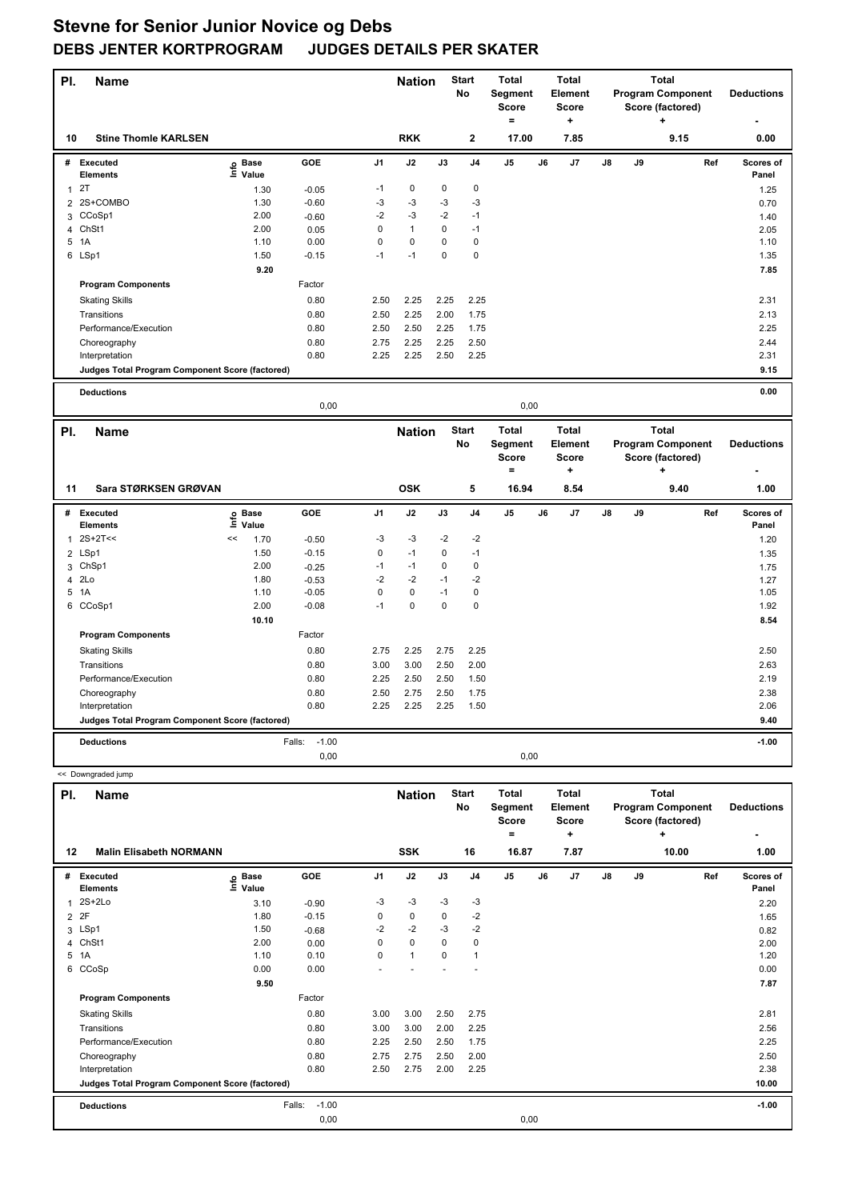| PI.            | <b>Name</b>                                            |                   |         |                | <b>Nation</b> |             | <b>Start</b><br>No | <b>Total</b><br>Segment<br><b>Score</b><br>$=$ |    | <b>Total</b><br>Element<br><b>Score</b><br>÷ |    |    | <b>Total</b><br><b>Program Component</b><br>Score (factored)<br>٠ |     | <b>Deductions</b>  |
|----------------|--------------------------------------------------------|-------------------|---------|----------------|---------------|-------------|--------------------|------------------------------------------------|----|----------------------------------------------|----|----|-------------------------------------------------------------------|-----|--------------------|
| 10             | <b>Stine Thomle KARLSEN</b>                            |                   |         |                | <b>RKK</b>    |             | $\mathbf 2$        | 17.00                                          |    | 7.85                                         |    |    | 9.15                                                              |     | 0.00               |
|                | # Executed<br>Elements                                 | e Base<br>⊑ Value | GOE     | J <sub>1</sub> | J2            | J3          | J <sub>4</sub>     | $\mathsf{J}5$                                  | J6 | J7                                           | J8 | J9 |                                                                   | Ref | Scores of<br>Panel |
| $\mathbf{1}$   | 2T                                                     | 1.30              | $-0.05$ | $-1$           | 0             | $\pmb{0}$   | $\mathbf 0$        |                                                |    |                                              |    |    |                                                                   |     | 1.25               |
| $\overline{2}$ | 2S+COMBO                                               | 1.30              | $-0.60$ | $-3$           | $-3$          | $-3$        | $-3$               |                                                |    |                                              |    |    |                                                                   |     | 0.70               |
| 3              | CCoSp1                                                 | 2.00              | $-0.60$ | $-2$           | $-3$          | $-2$        | $-1$               |                                                |    |                                              |    |    |                                                                   |     | 1.40               |
| 4              | ChSt1                                                  | 2.00              | 0.05    | 0              | $\mathbf{1}$  | $\pmb{0}$   | $-1$               |                                                |    |                                              |    |    |                                                                   |     | 2.05               |
| 5              | 1A                                                     | 1.10              | 0.00    | 0              | $\mathbf 0$   | $\mathbf 0$ | $\mathbf 0$        |                                                |    |                                              |    |    |                                                                   |     | 1.10               |
|                | 6 LSp1                                                 | 1.50              | $-0.15$ | $-1$           | $-1$          | 0           | $\mathbf 0$        |                                                |    |                                              |    |    |                                                                   |     | 1.35               |
|                |                                                        | 9.20              |         |                |               |             |                    |                                                |    |                                              |    |    |                                                                   |     | 7.85               |
|                | <b>Program Components</b>                              |                   | Factor  |                |               |             |                    |                                                |    |                                              |    |    |                                                                   |     |                    |
|                | <b>Skating Skills</b>                                  |                   | 0.80    | 2.50           | 2.25          | 2.25        | 2.25               |                                                |    |                                              |    |    |                                                                   |     | 2.31               |
|                | Transitions                                            |                   | 0.80    | 2.50           | 2.25          | 2.00        | 1.75               |                                                |    |                                              |    |    |                                                                   |     | 2.13               |
|                | Performance/Execution                                  |                   | 0.80    | 2.50           | 2.50          | 2.25        | 1.75               |                                                |    |                                              |    |    |                                                                   |     | 2.25               |
|                | Choreography                                           |                   | 0.80    | 2.75           | 2.25          | 2.25        | 2.50               |                                                |    |                                              |    |    |                                                                   |     | 2.44               |
|                | Interpretation                                         |                   | 0.80    | 2.25           | 2.25          | $2.50\,$    | 2.25               |                                                |    |                                              |    |    |                                                                   |     | 2.31               |
|                | Judges Total Program Component Score (factored)        |                   |         |                |               |             |                    |                                                |    |                                              |    |    |                                                                   |     | 9.15               |
|                | <b>Deductions</b>                                      |                   |         |                |               |             |                    |                                                |    |                                              |    |    |                                                                   |     | 0.00               |
|                |                                                        |                   | 0,00    |                |               |             |                    | 0,00                                           |    |                                              |    |    |                                                                   |     |                    |
|                |                                                        |                   |         |                |               |             | <b>Start</b>       | <b>Total</b>                                   |    | <b>Total</b>                                 |    |    | <b>Total</b>                                                      |     |                    |
| PI.            | <b>Name</b>                                            |                   |         |                | <b>Nation</b> |             | No                 | Segment                                        |    | <b>Element</b>                               |    |    | <b>Program Component</b>                                          |     | <b>Deductions</b>  |
|                |                                                        |                   |         |                |               |             |                    | <b>Score</b>                                   |    | <b>Score</b>                                 |    |    | Score (factored)                                                  |     |                    |
|                |                                                        |                   |         |                |               |             |                    | $=$                                            |    | +                                            |    |    | ٠                                                                 |     |                    |
| 11             | Sara STØRKSEN GRØVAN                                   |                   |         |                | <b>OSK</b>    |             | 5                  | 16.94                                          |    | 8.54                                         |    |    | 9.40                                                              |     | 1.00               |
|                |                                                        |                   |         |                |               |             |                    |                                                |    |                                              |    |    |                                                                   |     |                    |
| #              | Executed<br>Elements                                   | e Base<br>⊑ Value | GOE     | J <sub>1</sub> | J2            | J3          | J <sub>4</sub>     | J5                                             | J6 | J7                                           | J8 | J9 |                                                                   | Ref | Scores of<br>Panel |
| $\mathbf{1}$   | $2S+2T<<$                                              | <<<br>1.70        | $-0.50$ | $-3$           | $-3$          | $-2$        | $-2$               |                                                |    |                                              |    |    |                                                                   |     | 1.20               |
|                | 2 LSp1                                                 | 1.50              | $-0.15$ | 0              | $-1$          | 0           | $-1$               |                                                |    |                                              |    |    |                                                                   |     |                    |
| 3              | ChSp1                                                  | 2.00              | $-0.25$ | $-1$           | $-1$          | 0           | $\pmb{0}$          |                                                |    |                                              |    |    |                                                                   |     | 1.35<br>1.75       |
| $\overline{4}$ | 2Lo                                                    | 1.80              | $-0.53$ | $-2$           | $-2$          | $-1$        | $-2$               |                                                |    |                                              |    |    |                                                                   |     | 1.27               |
|                | 5 1A                                                   | 1.10              | $-0.05$ | 0              | $\pmb{0}$     | $-1$        | $\mathbf 0$        |                                                |    |                                              |    |    |                                                                   |     | 1.05               |
|                | 6 CCoSp1                                               | 2.00              | $-0.08$ | $-1$           | $\mathbf 0$   | $\mathbf 0$ | $\mathbf 0$        |                                                |    |                                              |    |    |                                                                   |     | 1.92               |
|                |                                                        | 10.10             |         |                |               |             |                    |                                                |    |                                              |    |    |                                                                   |     | 8.54               |
|                | <b>Program Components</b>                              |                   | Factor  |                |               |             |                    |                                                |    |                                              |    |    |                                                                   |     |                    |
|                | <b>Skating Skills</b>                                  |                   | 0.80    | 2.75           | 2.25          | 2.75        | 2.25               |                                                |    |                                              |    |    |                                                                   |     | 2.50               |
|                | Transitions                                            |                   | 0.80    | 3.00           | 3.00          | 2.50        | 2.00               |                                                |    |                                              |    |    |                                                                   |     | 2.63               |
|                | Performance/Execution                                  |                   | 0.80    | 2.25           | 2.50          | 2.50        | 1.50               |                                                |    |                                              |    |    |                                                                   |     | 2.19               |
|                | Choreography                                           |                   | 0.80    | 2.50           | 2.75          | 2.50        | 1.75               |                                                |    |                                              |    |    |                                                                   |     | 2.38               |
|                | Interpretation                                         |                   | 0.80    | 2.25           | 2.25          | 2.25        | 1.50               |                                                |    |                                              |    |    |                                                                   |     | 2.06               |
|                | <b>Judges Total Program Component Score (factored)</b> |                   |         |                |               |             |                    |                                                |    |                                              |    |    |                                                                   |     | 9.40               |
|                |                                                        |                   | $-1.00$ |                |               |             |                    |                                                |    |                                              |    |    |                                                                   |     |                    |
|                | <b>Deductions</b>                                      |                   | Falls:  |                |               |             |                    |                                                |    |                                              |    |    |                                                                   |     | $-1.00$            |
|                |                                                        |                   |         |                |               |             |                    |                                                |    |                                              |    |    |                                                                   |     |                    |
|                |                                                        |                   | 0,00    |                |               |             |                    | 0,00                                           |    |                                              |    |    |                                                                   |     |                    |
|                | << Downgraded jump                                     |                   |         |                |               |             | <b>Start</b>       |                                                |    | <b>Total</b>                                 |    |    | <b>Total</b>                                                      |     |                    |

| PI. | <b>Name</b>                                     |                   |                   |                | <b>Nation</b> |             | <b>Start</b><br>No | <b>Total</b><br>Segment<br><b>Score</b><br>= | <b>Total</b><br>Element<br>Score<br>÷ |               |    | <b>Total</b><br><b>Program Component</b><br>Score (factored)<br>÷ | <b>Deductions</b>  |
|-----|-------------------------------------------------|-------------------|-------------------|----------------|---------------|-------------|--------------------|----------------------------------------------|---------------------------------------|---------------|----|-------------------------------------------------------------------|--------------------|
| 12  | <b>Malin Elisabeth NORMANN</b>                  |                   |                   |                | <b>SSK</b>    |             | 16                 | 16.87                                        | 7.87                                  |               |    | 10.00                                                             | 1.00               |
| #   | Executed<br><b>Elements</b>                     | e Base<br>⊑ Value | <b>GOE</b>        | J <sub>1</sub> | J2            | J3          | J <sub>4</sub>     | J <sub>5</sub>                               | J6<br>J7                              | $\mathsf{J}8$ | J9 | Ref                                                               | Scores of<br>Panel |
| 1   | $2S+2Lo$                                        | 3.10              | $-0.90$           | $-3$           | $-3$          | $-3$        | $-3$               |                                              |                                       |               |    |                                                                   | 2.20               |
|     | 2 2F                                            | 1.80              | $-0.15$           | 0              | 0             | 0           | $-2$               |                                              |                                       |               |    |                                                                   | 1.65               |
|     | 3 LSp1                                          | 1.50              | $-0.68$           | $-2$           | $-2$          | $-3$        | $-2$               |                                              |                                       |               |    |                                                                   | 0.82               |
| 4   | ChSt1                                           | 2.00              | 0.00              | 0              | $\mathbf 0$   | $\mathbf 0$ | $\pmb{0}$          |                                              |                                       |               |    |                                                                   | 2.00               |
|     | 5 1A                                            | 1.10              | 0.10              | 0              | $\mathbf{1}$  | $\mathbf 0$ | $\mathbf{1}$       |                                              |                                       |               |    |                                                                   | 1.20               |
| 6   | CCoSp                                           | 0.00              | 0.00              |                |               |             |                    |                                              |                                       |               |    |                                                                   | 0.00               |
|     |                                                 | 9.50              |                   |                |               |             |                    |                                              |                                       |               |    |                                                                   | 7.87               |
|     | <b>Program Components</b>                       |                   | Factor            |                |               |             |                    |                                              |                                       |               |    |                                                                   |                    |
|     | <b>Skating Skills</b>                           |                   | 0.80              | 3.00           | 3.00          | 2.50        | 2.75               |                                              |                                       |               |    |                                                                   | 2.81               |
|     | Transitions                                     |                   | 0.80              | 3.00           | 3.00          | 2.00        | 2.25               |                                              |                                       |               |    |                                                                   | 2.56               |
|     | Performance/Execution                           |                   | 0.80              | 2.25           | 2.50          | 2.50        | 1.75               |                                              |                                       |               |    |                                                                   | 2.25               |
|     | Choreography                                    |                   | 0.80              | 2.75           | 2.75          | 2.50        | 2.00               |                                              |                                       |               |    |                                                                   | 2.50               |
|     | Interpretation                                  |                   | 0.80              | 2.50           | 2.75          | 2.00        | 2.25               |                                              |                                       |               |    |                                                                   | 2.38               |
|     | Judges Total Program Component Score (factored) |                   |                   |                |               |             |                    |                                              |                                       |               |    |                                                                   | 10.00              |
|     | <b>Deductions</b>                               |                   | $-1.00$<br>Falls: |                |               |             |                    |                                              |                                       |               |    |                                                                   | $-1.00$            |
|     |                                                 |                   | 0,00              |                |               |             |                    | 0,00                                         |                                       |               |    |                                                                   |                    |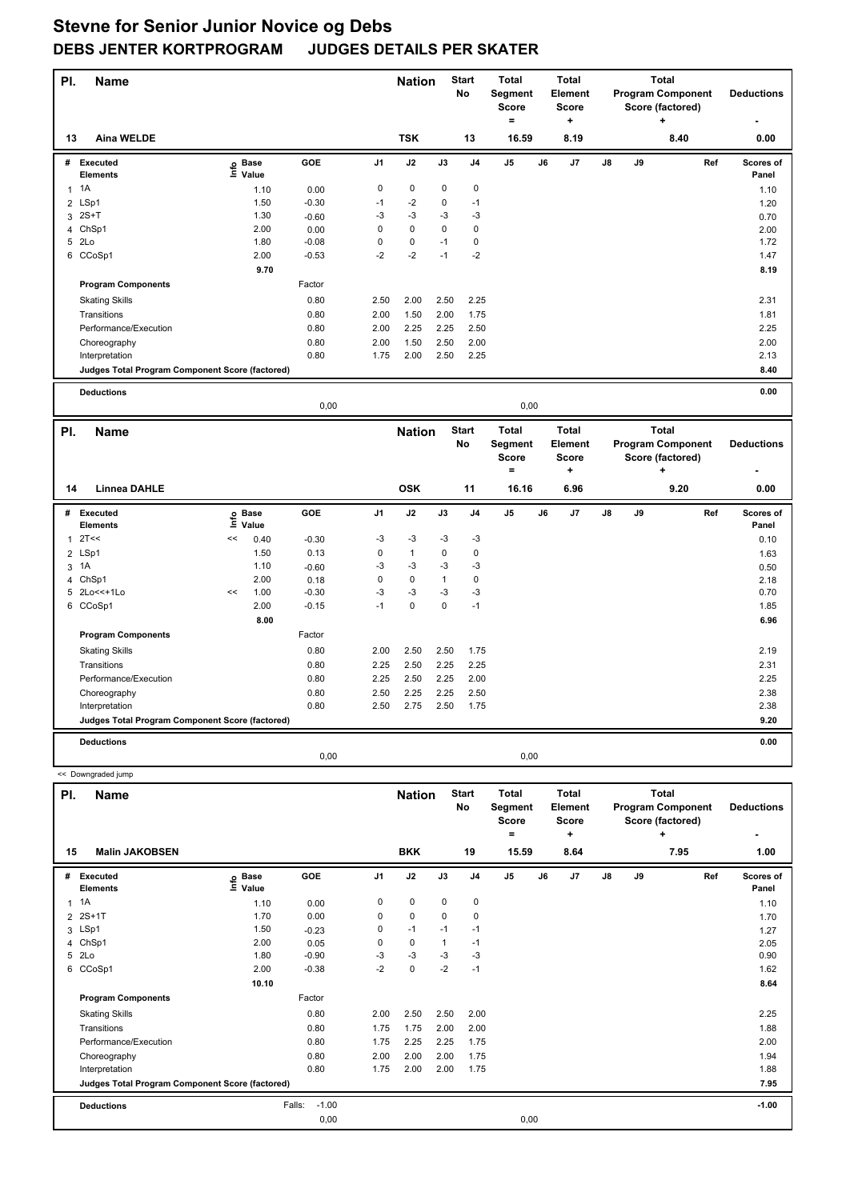| PI.            | <b>Name</b>                                     |                            |         |      | <b>Nation</b> |              | <b>Start</b><br>No | <b>Total</b><br>Segment<br>Score<br>$=$ |    | <b>Total</b><br><b>Element</b><br><b>Score</b><br>٠ |    |    | <b>Total</b><br><b>Program Component</b><br>Score (factored)<br>÷ |     | <b>Deductions</b>  |
|----------------|-------------------------------------------------|----------------------------|---------|------|---------------|--------------|--------------------|-----------------------------------------|----|-----------------------------------------------------|----|----|-------------------------------------------------------------------|-----|--------------------|
| 13             | <b>Aina WELDE</b>                               |                            |         |      | <b>TSK</b>    |              | 13                 | 16.59                                   |    | 8.19                                                |    |    | 8.40                                                              |     | 0.00               |
|                | # Executed<br><b>Elements</b>                   | e Base<br>⊑ Value          | GOE     | J1   | J2            | J3           | J4                 | J5                                      | J6 | J7                                                  | J8 | J9 |                                                                   | Ref | Scores of<br>Panel |
| $\mathbf{1}$   | 1A                                              | 1.10                       | 0.00    | 0    | 0             | 0            | $\pmb{0}$          |                                         |    |                                                     |    |    |                                                                   |     | 1.10               |
| 2              | LSp1                                            | 1.50                       | $-0.30$ | $-1$ | $-2$          | 0            | $-1$               |                                         |    |                                                     |    |    |                                                                   |     | 1.20               |
|                | $3 \quad 2S+T$                                  | 1.30                       | $-0.60$ | -3   | $-3$          | -3           | $-3$               |                                         |    |                                                     |    |    |                                                                   |     | 0.70               |
| 4              | ChSp1                                           | 2.00                       | 0.00    | 0    | $\mathbf 0$   | 0            | $\pmb{0}$          |                                         |    |                                                     |    |    |                                                                   |     | 2.00               |
|                | 5 2Lo                                           | 1.80                       | $-0.08$ | 0    | $\pmb{0}$     | $-1$         | $\pmb{0}$          |                                         |    |                                                     |    |    |                                                                   |     | 1.72               |
|                | 6 CCoSp1                                        | 2.00                       | $-0.53$ | $-2$ | $-2$          | $-1$         | $-2$               |                                         |    |                                                     |    |    |                                                                   |     | 1.47               |
|                |                                                 | 9.70                       |         |      |               |              |                    |                                         |    |                                                     |    |    |                                                                   |     | 8.19               |
|                | <b>Program Components</b>                       |                            | Factor  |      |               |              |                    |                                         |    |                                                     |    |    |                                                                   |     |                    |
|                | <b>Skating Skills</b>                           |                            | 0.80    | 2.50 | 2.00          | 2.50         | 2.25               |                                         |    |                                                     |    |    |                                                                   |     | 2.31               |
|                | Transitions                                     |                            | 0.80    | 2.00 | 1.50          | 2.00         | 1.75               |                                         |    |                                                     |    |    |                                                                   |     | 1.81               |
|                | Performance/Execution                           |                            | 0.80    | 2.00 | 2.25          | 2.25         | 2.50               |                                         |    |                                                     |    |    |                                                                   |     | 2.25               |
|                | Choreography                                    |                            | 0.80    | 2.00 | 1.50          | 2.50         | 2.00               |                                         |    |                                                     |    |    |                                                                   |     | 2.00               |
|                | Interpretation                                  |                            | 0.80    | 1.75 | 2.00          | 2.50         | 2.25               |                                         |    |                                                     |    |    |                                                                   |     | 2.13               |
|                | Judges Total Program Component Score (factored) |                            |         |      |               |              |                    |                                         |    |                                                     |    |    |                                                                   |     | 8.40               |
|                |                                                 |                            |         |      |               |              |                    |                                         |    |                                                     |    |    |                                                                   |     |                    |
|                | <b>Deductions</b>                               |                            |         |      |               |              |                    |                                         |    |                                                     |    |    |                                                                   |     | 0.00               |
|                |                                                 |                            | 0,00    |      |               |              |                    | 0,00                                    |    |                                                     |    |    |                                                                   |     |                    |
| PI.            | <b>Name</b>                                     |                            |         |      | <b>Nation</b> |              | <b>Start</b>       | <b>Total</b>                            |    | <b>Total</b>                                        |    |    | <b>Total</b>                                                      |     |                    |
|                |                                                 |                            |         |      |               |              | No                 | Segment                                 |    | Element                                             |    |    | <b>Program Component</b>                                          |     | <b>Deductions</b>  |
|                |                                                 |                            |         |      |               |              |                    | <b>Score</b>                            |    | <b>Score</b>                                        |    |    | Score (factored)                                                  |     |                    |
|                |                                                 |                            |         |      |               |              |                    | ۰                                       |    | ٠                                                   |    |    | ٠                                                                 |     |                    |
| 14             | <b>Linnea DAHLE</b>                             |                            |         |      | <b>OSK</b>    |              | 11                 | 16.16                                   |    | 6.96                                                |    |    | 9.20                                                              |     | 0.00               |
| #              | <b>Executed</b>                                 |                            | GOE     | J1   | J2            | J3           | J <sub>4</sub>     | J5                                      | J6 | J7                                                  | J8 | J9 |                                                                   | Ref | Scores of          |
|                | Elements                                        | e Base<br>≡ Value<br>Value |         |      |               |              |                    |                                         |    |                                                     |    |    |                                                                   |     | Panel              |
| $\mathbf{1}$   | 2T<<                                            | <<<br>0.40                 | $-0.30$ |      |               |              |                    |                                         |    |                                                     |    |    |                                                                   |     |                    |
| $\overline{2}$ | LSp1                                            |                            |         | -3   | -3            | -3           | -3                 |                                         |    |                                                     |    |    |                                                                   |     | 0.10               |
| 3 1A           |                                                 | 1.50                       | 0.13    | 0    | $\mathbf{1}$  | $\pmb{0}$    | $\pmb{0}$          |                                         |    |                                                     |    |    |                                                                   |     | 1.63               |
| 4              |                                                 | 1.10                       | $-0.60$ | -3   | -3            | -3           | -3                 |                                         |    |                                                     |    |    |                                                                   |     | 0.50               |
|                | ChSp1                                           | 2.00                       | 0.18    | 0    | $\mathbf 0$   | $\mathbf{1}$ | $\pmb{0}$          |                                         |    |                                                     |    |    |                                                                   |     | 2.18               |
|                | 5 2Lo<<+1Lo                                     | 1.00<br><<                 | $-0.30$ | -3   | $-3$          | $-3$         | $-3$               |                                         |    |                                                     |    |    |                                                                   |     | 0.70               |
|                | 6 CCoSp1                                        | 2.00                       | $-0.15$ | $-1$ | $\mathbf 0$   | $\mathbf 0$  | $-1$               |                                         |    |                                                     |    |    |                                                                   |     | 1.85               |
|                |                                                 | 8.00                       |         |      |               |              |                    |                                         |    |                                                     |    |    |                                                                   |     | 6.96               |
|                | <b>Program Components</b>                       |                            | Factor  |      |               |              |                    |                                         |    |                                                     |    |    |                                                                   |     |                    |
|                | <b>Skating Skills</b>                           |                            | 0.80    | 2.00 | 2.50          | 2.50         | 1.75               |                                         |    |                                                     |    |    |                                                                   |     | 2.19               |
|                | Transitions                                     |                            | 0.80    | 2.25 | 2.50          | 2.25         | 2.25               |                                         |    |                                                     |    |    |                                                                   |     | 2.31               |
|                | Performance/Execution                           |                            | 0.80    | 2.25 | 2.50          | 2.25         | 2.00               |                                         |    |                                                     |    |    |                                                                   |     | 2.25               |
|                | Choreography                                    |                            | 0.80    | 2.50 | 2.25          | 2.25         | 2.50               |                                         |    |                                                     |    |    |                                                                   |     | 2.38               |
|                | Interpretation                                  |                            | 0.80    | 2.50 | 2.75          | 2.50         | 1.75               |                                         |    |                                                     |    |    |                                                                   |     | 2.38               |
|                | Judges Total Program Component Score (factored) |                            |         |      |               |              |                    |                                         |    |                                                     |    |    |                                                                   |     | 9.20               |
|                |                                                 |                            |         |      |               |              |                    |                                         |    |                                                     |    |    |                                                                   |     |                    |
|                | <b>Deductions</b>                               |                            | 0,00    |      |               |              |                    | 0,00                                    |    |                                                     |    |    |                                                                   |     | 0.00               |
|                | << Downgraded jump                              |                            |         |      |               |              |                    |                                         |    |                                                     |    |    |                                                                   |     |                    |
|                |                                                 |                            |         |      |               |              |                    |                                         |    |                                                     |    |    |                                                                   |     |                    |
| PI.            | Name                                            |                            |         |      | <b>Nation</b> |              | <b>Start</b><br>No | Total<br>Segment<br>Score               |    | <b>Total</b><br>Element<br>Score                    |    |    | <b>Total</b><br><b>Program Component</b><br>Score (factored)      |     | <b>Deductions</b>  |
|                | Malin JAKORSEN                                  |                            |         |      | <b>RKK</b>    |              | 19                 | =<br>15.59                              |    | $\ddot{}$<br>8.64                                   |    |    | ÷<br>795                                                          |     | ٠<br>1.00          |

| 15 | <b>Malin JAKOBSEN</b>                           |                            |                   |      | <b>BKK</b>  |      | 19             | 15.59          |      | 8.64 |               |    | 7.95 |     | 1.00               |
|----|-------------------------------------------------|----------------------------|-------------------|------|-------------|------|----------------|----------------|------|------|---------------|----|------|-----|--------------------|
| #  | <b>Executed</b><br><b>Elements</b>              | e Base<br>≡ Value<br>Value | <b>GOE</b>        | J1   | J2          | J3   | J <sub>4</sub> | J <sub>5</sub> | J6   | J7   | $\mathsf{J}8$ | J9 |      | Ref | Scores of<br>Panel |
|    | $1 \t1A$                                        | 1.10                       | 0.00              | 0    | $\mathbf 0$ | 0    | 0              |                |      |      |               |    |      |     | 1.10               |
|    | 2 2S+1T                                         | 1.70                       | 0.00              | 0    | $\mathbf 0$ | 0    | 0              |                |      |      |               |    |      |     | 1.70               |
|    | 3 LSp1                                          | 1.50                       | $-0.23$           | 0    | $-1$        | $-1$ | $-1$           |                |      |      |               |    |      |     | 1.27               |
|    | 4 ChSp1                                         | 2.00                       | 0.05              | 0    | $\mathbf 0$ |      | $-1$           |                |      |      |               |    |      |     | 2.05               |
|    | 5 2Lo                                           | 1.80                       | $-0.90$           | -3   | -3          | -3   | $-3$           |                |      |      |               |    |      |     | 0.90               |
|    | 6 CCoSp1                                        | 2.00                       | $-0.38$           | $-2$ | $\mathbf 0$ | $-2$ | $-1$           |                |      |      |               |    |      |     | 1.62               |
|    |                                                 | 10.10                      |                   |      |             |      |                |                |      |      |               |    |      |     | 8.64               |
|    | <b>Program Components</b>                       |                            | Factor            |      |             |      |                |                |      |      |               |    |      |     |                    |
|    | <b>Skating Skills</b>                           |                            | 0.80              | 2.00 | 2.50        | 2.50 | 2.00           |                |      |      |               |    |      |     | 2.25               |
|    | Transitions                                     |                            | 0.80              | 1.75 | 1.75        | 2.00 | 2.00           |                |      |      |               |    |      |     | 1.88               |
|    | Performance/Execution                           |                            | 0.80              | 1.75 | 2.25        | 2.25 | 1.75           |                |      |      |               |    |      |     | 2.00               |
|    | Choreography                                    |                            | 0.80              | 2.00 | 2.00        | 2.00 | 1.75           |                |      |      |               |    |      |     | 1.94               |
|    | Interpretation                                  |                            | 0.80              | 1.75 | 2.00        | 2.00 | 1.75           |                |      |      |               |    |      |     | 1.88               |
|    | Judges Total Program Component Score (factored) |                            |                   |      |             |      |                |                |      |      |               |    |      |     | 7.95               |
|    | <b>Deductions</b>                               |                            | Falls:<br>$-1.00$ |      |             |      |                |                |      |      |               |    |      |     | $-1.00$            |
|    |                                                 |                            | 0,00              |      |             |      |                |                | 0,00 |      |               |    |      |     |                    |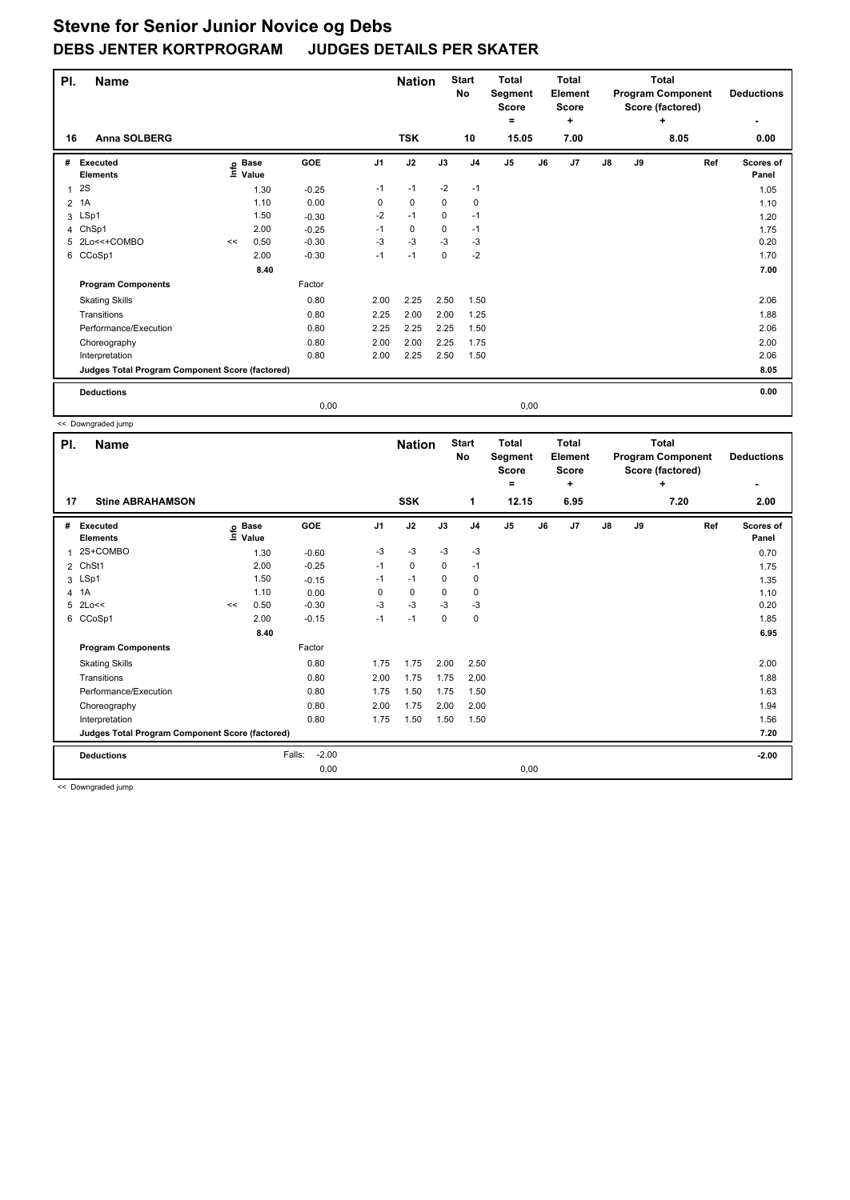| PI.            | <b>Name</b>                                     |    |                   |         |                | <b>Nation</b> |          | <b>Start</b><br><b>No</b> | Total<br>Segment<br><b>Score</b><br>۰ |      | <b>Total</b><br>Element<br><b>Score</b><br>٠ |    |    | Total<br><b>Program Component</b><br>Score (factored)<br>٠ | <b>Deductions</b>  |
|----------------|-------------------------------------------------|----|-------------------|---------|----------------|---------------|----------|---------------------------|---------------------------------------|------|----------------------------------------------|----|----|------------------------------------------------------------|--------------------|
| 16             | Anna SOLBERG                                    |    |                   |         |                | <b>TSK</b>    |          | 10                        | 15.05                                 |      | 7.00                                         |    |    | 8.05                                                       | 0.00               |
| #              | <b>Executed</b><br><b>Elements</b>              |    | e Base<br>⊆ Value | GOE     | J <sub>1</sub> | J2            | J3       | J <sub>4</sub>            | J <sub>5</sub>                        | J6   | J <sub>7</sub>                               | J8 | J9 | Ref                                                        | Scores of<br>Panel |
| 1              | 2S                                              |    | 1.30              | $-0.25$ | $-1$           | $-1$          | $-2$     | $-1$                      |                                       |      |                                              |    |    |                                                            | 1.05               |
| $\overline{2}$ | 1A                                              |    | 1.10              | 0.00    | 0              | 0             | 0        | 0                         |                                       |      |                                              |    |    |                                                            | 1.10               |
| 3              | LSp1                                            |    | 1.50              | $-0.30$ | $-2$           | $-1$          | $\Omega$ | $-1$                      |                                       |      |                                              |    |    |                                                            | 1.20               |
| 4              | ChSp1                                           |    | 2.00              | $-0.25$ | $-1$           | $\mathbf 0$   | 0        | $-1$                      |                                       |      |                                              |    |    |                                                            | 1.75               |
| 5              | 2Lo<<+COMBO                                     | << | 0.50              | $-0.30$ | $-3$           | $-3$          | $-3$     | $-3$                      |                                       |      |                                              |    |    |                                                            | 0.20               |
| 6              | CCoSp1                                          |    | 2.00              | $-0.30$ | $-1$           | $-1$          | $\Omega$ | $-2$                      |                                       |      |                                              |    |    |                                                            | 1.70               |
|                |                                                 |    | 8.40              |         |                |               |          |                           |                                       |      |                                              |    |    |                                                            | 7.00               |
|                | <b>Program Components</b>                       |    |                   | Factor  |                |               |          |                           |                                       |      |                                              |    |    |                                                            |                    |
|                | <b>Skating Skills</b>                           |    |                   | 0.80    | 2.00           | 2.25          | 2.50     | 1.50                      |                                       |      |                                              |    |    |                                                            | 2.06               |
|                | Transitions                                     |    |                   | 0.80    | 2.25           | 2.00          | 2.00     | 1.25                      |                                       |      |                                              |    |    |                                                            | 1.88               |
|                | Performance/Execution                           |    |                   | 0.80    | 2.25           | 2.25          | 2.25     | 1.50                      |                                       |      |                                              |    |    |                                                            | 2.06               |
|                | Choreography                                    |    |                   | 0.80    | 2.00           | 2.00          | 2.25     | 1.75                      |                                       |      |                                              |    |    |                                                            | 2.00               |
|                | Interpretation                                  |    |                   | 0.80    | 2.00           | 2.25          | 2.50     | 1.50                      |                                       |      |                                              |    |    |                                                            | 2.06               |
|                | Judges Total Program Component Score (factored) |    |                   |         |                |               |          |                           |                                       |      |                                              |    |    |                                                            | 8.05               |
|                | <b>Deductions</b>                               |    |                   |         |                |               |          |                           |                                       |      |                                              |    |    |                                                            | 0.00               |
|                |                                                 |    |                   | 0,00    |                |               |          |                           |                                       | 0,00 |                                              |    |    |                                                            |                    |

 << Downgraded jump **Name Deductions - Nation** Start Total **Segment Score = Total Element Score + Total Program Component Score (factored) + PI.** Name **Start PI.** Nation Start **No # Executed Elements Base Value GOE J1 J2 J3 J4 J5 J6 J7 J8 J9 Scores of Panel** 1 1.30 -0.60 -3 -3 -3 -3 **Ref**  المسلم المسلم المسلم المسلم المسلم المسلم المسلم المسلم المسلم المسلم المسلم المسلم المسلم المسلم المسلم المسل<br>2S+COMBO 1.30 -0.60 -3 -3 -3 -3<br>2S+COMBO 1.30 -0.60 -3 -3 -3 -3  **17 Stine ABRAHAMSON SSK 1 12.15 6.95 7.20 2.00** 2 ChSt1 2.00 -0.25 -1 0 0 -1 1.75 3 LSp1 1.50 -0.15 -1 -1 0 0 1.35 4 1A 1.10 0.00 0 0 0 0 1.10 1.10  $5$  2Lo<<  $\leq$  0.50  $-0.30$   $-3$   $-3$   $-3$   $-3$   $-3$   $-3$   $-13$ 6 CCoSp1 2.00 -0.15 -1 -1 0 0 1.85  **8.40 6.95 Program Components**  Skating Skills **1.75** 1.75 2.00 2.50 Factor 0.80 2.00 Transitions 0.80 2.00 1.75 1.75 2.00 1.88 Performance/Execution 0.80 1.75 1.50 1.75 1.50 1.63 Choreography 0.80 2.00 1.75 2.00 2.00 1.94 Interpretation 0.80 1.75 1.50 1.50 1.50 1.56 **Deductions** Falls: -2.00 **-2.00 Judges Total Program Component Score (factored) 7.20** 0,00 0,00

<< Downgraded jump